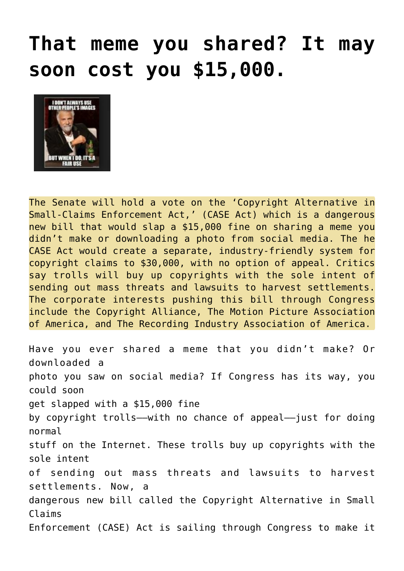## **[That meme you shared? It may](https://needtoknow.news/2019/07/that-meme-you-shared-it-may-soon-cost-you-15000/) [soon cost you \\$15,000.](https://needtoknow.news/2019/07/that-meme-you-shared-it-may-soon-cost-you-15000/)**



The Senate will hold a vote on the 'Copyright Alternative in Small-Claims Enforcement Act,' (CASE Act) which is a dangerous new bill that would slap a \$15,000 fine on sharing a meme you didn't make or downloading a photo from social media. The he CASE Act would create a separate, industry-friendly system for copyright claims to \$30,000, with no option of appeal. Critics say trolls will buy up copyrights with the sole intent of sending out mass threats and lawsuits to harvest settlements. The corporate interests pushing this bill through Congress include the Copyright Alliance, The Motion Picture Association of America, and The Recording Industry Association of America.

Have you ever shared a meme that you didn't make? Or downloaded a photo you saw on social media? If Congress has its way, you could soon get slapped with a \$15,000 [fine](https://www.eff.org/deeplinks/2017/11/creating-copyright-court-copyright-office-wrong-move) by copyright trolls––with no chance of appeal––just for doing normal stuff on the Internet. These trolls buy up copyrights with the sole [intent](https://www.eff.org/document/letter-opposing-case-act) of sending out mass threats and lawsuits to harvest settlements. Now, a dangerous new bill called the Copyright Alternative in Small Claims Enforcement (CASE) Act is sailing through Congress to make it